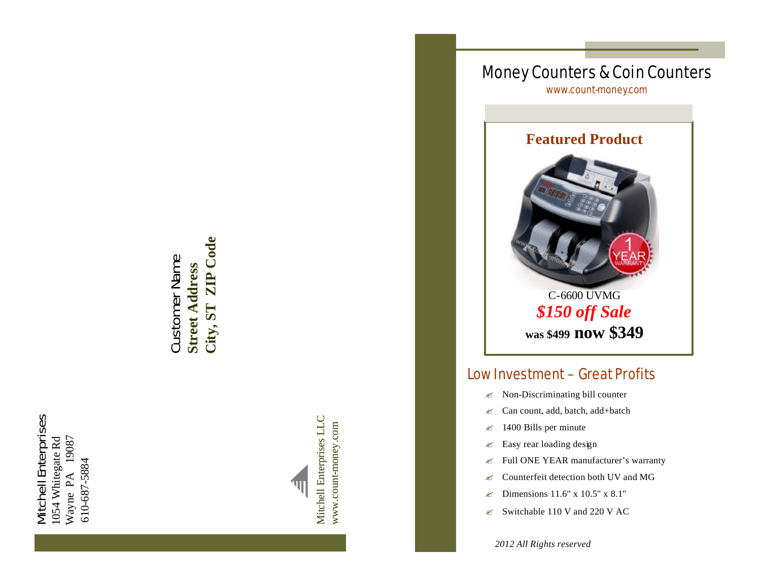Mitchell Enterprises Mitchell Enterprises 19087 1054 Whitegate Rd Wayne PA 19087 1054 Whitegate Rd 610-687-5884 610-687-5884Wayne PA

City, ST ZIP Code **City, ST ZIP Code** Customer Name Customer Name **Street Address Street Address**



Money Counters & Coin Counters www.count -money.com



# Low Investment – Great Profits

- $\ll$  Non-Discriminating bill counter
- $\ll$  Can count, add, batch, add+batch
- $\approx$  1400 Bills per minute
- $\ll$  Easy rear loading design
- $\mathscr{L}$  Full ONE YEAR manufacturer's warranty
- $\ll$  Counterfeit detection both UV and MG
- $\approx$  Dimensions 11.6" x 10.5" x 8.1"
- $\approx$  Switchable 110 V and 220 V AC

*2012 All Rights reserved*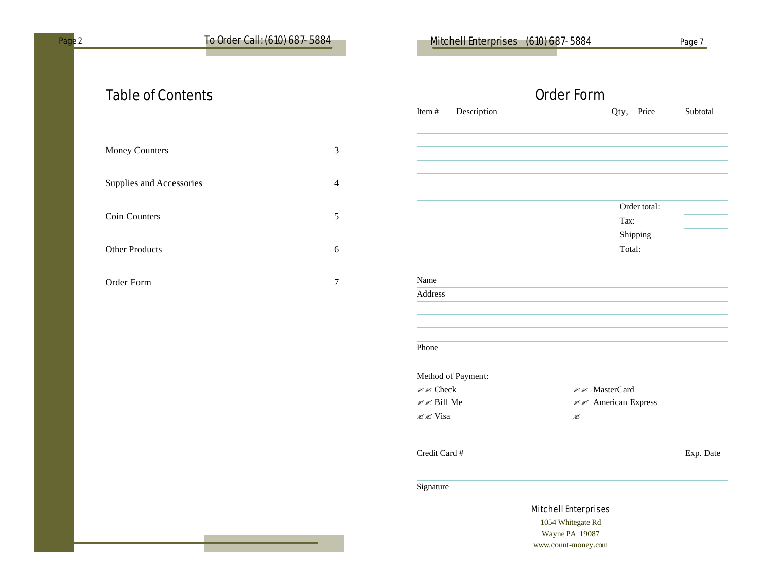## Page 2 To Order Call: (610) 687-5884 Mitchell Enterprises (610) 687-5884 Page 7

# Table of Contents

| Money Counters           | 3 |
|--------------------------|---|
| Supplies and Accessories | 4 |
| Coin Counters            | 5 |
| <b>Other Products</b>    | 6 |
| Order Form               |   |

|                      | Order Form           |           |
|----------------------|----------------------|-----------|
| Item#<br>Description | Price<br>Qty,        | Subtotal  |
|                      |                      |           |
|                      |                      |           |
|                      |                      |           |
|                      |                      |           |
|                      |                      |           |
|                      | Order total:         |           |
|                      | Tax:                 |           |
|                      | Shipping             |           |
|                      | Total:               |           |
| Name                 |                      |           |
| Address              |                      |           |
|                      |                      |           |
|                      |                      |           |
| Phone                |                      |           |
| Method of Payment:   |                      |           |
| <b>ØØ</b> Check      | <b>ØØ</b> MasterCard |           |
| <b>Ø</b> Bill Me     | ≤ <<br><td></td>     |           |
| <b>ØØ</b> Visa       | ø                    |           |
| Credit Card #        |                      |           |
|                      |                      | Exp. Date |
| Signature            |                      |           |
|                      | Mitchell Enterprises |           |

itchell Enterprises 1054 Whitegate Rd Wayne PA 19087 www.count-money.com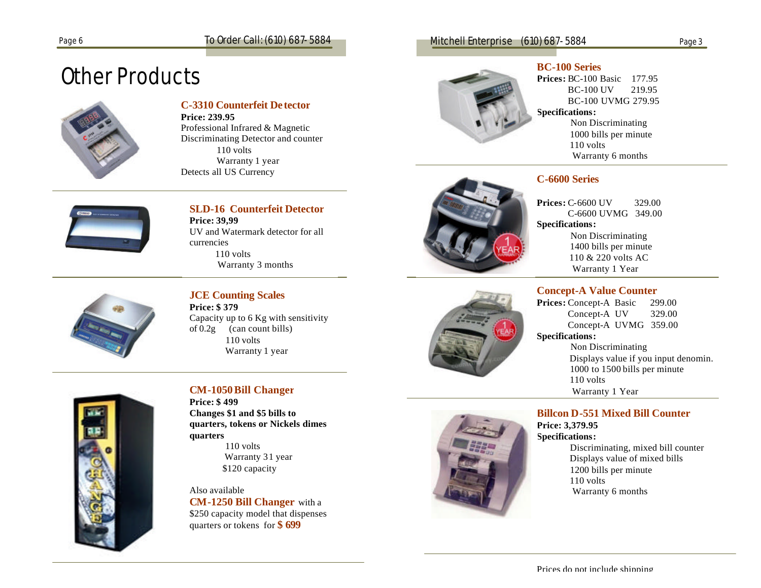# Other Products



#### **C-3310 Counterfeit De tector**

**Price: 239.95**

Professional Infrared & Magnetic Discriminating Detector and counter 110 volts Warranty 1 year Detects all US Currency



## **SLD-16 Counterfeit Detector**

**Price: 39,99** UV and Watermark detector for all currencies 110 volts Warranty 3 months



#### **JCE Counting Scales Price: \$ 379**

Capacity up to 6 Kg with sensitivity of  $0.2g$  (can count bills) 110 volts Warranty 1 year



#### **CM-1050Bill Changer**

**Price: \$ 499 Changes \$1 and \$5 bills to quarters, tokens or Nickels dimes quarters** 110 volts Warranty 31 year \$120 capacity

Also available **CM-1250 Bill Changer** with a \$250 capacity model that dispenses quarters or tokens for **\$ 699**

#### Page 6 To Order Call: (610) 687-5884 Mitchell Enterprise (610) 687-5884



#### **BC-100 Series**

**Prices:** BC-100 Basic 177.95 BC-100 UV 219.95 BC-100 UVMG 279.95 **Specifications:** Non Discriminating 1000 bills per minute 110 volts Warranty 6 months



#### **C-6600 Series**

**Prices:** C-6600 UV 329.00 C-6600 UVMG 349.00 **Specifications:** Non Discriminating 1400 bills per minute 110 & 220 volts AC Warranty 1 Year

#### **Concept-A Value Counter**

**Prices:** Concept-A Basic 299.00 Concept-A UV 329.00 Concept-A UVMG 359.00 **Specifications:**

 Non Discriminating Displays value if you input denomin. 1000 to 1500 bills per minute 110 volts Warranty 1 Year

**Billcon D-551 Mixed Bill Counter Price: 3,379.95 Specifications:**

> Discriminating, mixed bill counter Displays value of mixed bills 1200 bills per minute 110 volts Warranty 6 months